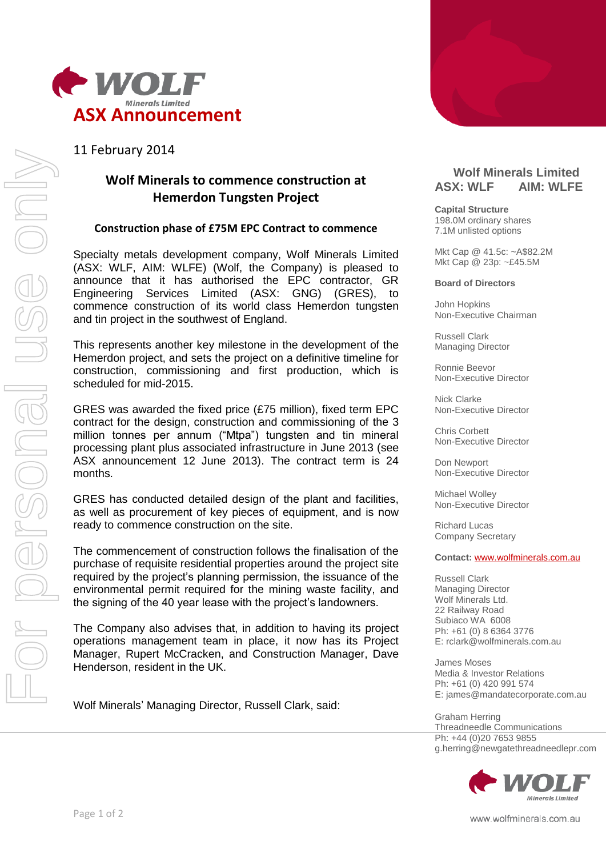

11 February 2014

# **Wolf Minerals to commence construction at Hemerdon Tungsten Project**

### **Construction phase of £75M EPC Contract to commence**

Specialty metals development company, Wolf Minerals Limited (ASX: WLF, AIM: WLFE) (Wolf, the Company) is pleased to announce that it has authorised the EPC contractor, GR Engineering Services Limited (ASX: GNG) (GRES), to commence construction of its world class Hemerdon tungsten and tin project in the southwest of England.

This represents another key milestone in the development of the Hemerdon project, and sets the project on a definitive timeline for construction, commissioning and first production, which is scheduled for mid-2015.

GRES was awarded the fixed price (£75 million), fixed term EPC contract for the design, construction and commissioning of the 3 million tonnes per annum ("Mtpa") tungsten and tin mineral processing plant plus associated infrastructure in June 2013 (see ASX announcement 12 June 2013). The contract term is 24 months.

GRES has conducted detailed design of the plant and facilities, as well as procurement of key pieces of equipment, and is now ready to commence construction on the site.

The commencement of construction follows the finalisation of the purchase of requisite residential properties around the project site required by the project's planning permission, the issuance of the environmental permit required for the mining waste facility, and the signing of the 40 year lease with the project's landowners.

The Company also advises that, in addition to having its project operations management team in place, it now has its Project Manager, Rupert McCracken, and Construction Manager, Dave Henderson, resident in the UK.

Wolf Minerals' Managing Director, Russell Clark, said:



# Level 1, 350 Hay Street, PO Box 935, Western Australia, 6008 **Wolf Minerals Limited ASX: WLF AIM: WLFE**

**Capital Structure** 198.0M ordinary shares 7.1M unlisted options

Mkt Cap @ 41.5c: ~A\$82.2M Mkt Cap @ 23p: ~£45.5M

**Board of Directors**

John Hopkins Non-Executive Chairman

Russell Clark Managing Director

Ronnie Beevor Non-Executive Director

Nick Clarke Non-Executive Director

Chris Corbett Non-Executive Director

Don Newport Non-Executive Director

Michael Wolley Non-Executive Director

Richard Lucas Company Secretary

#### **Contact:** [www.wolfminerals.com.au](http://www.wolfminerals.com.au/)

Russell Clark Managing Director Wolf Minerals Ltd. 22 Railway Road Subiaco WA 6008 Ph: +61 (0) 8 6364 3776 E: rclark@wolfminerals.com.au

James Moses Media & Investor Relations Ph: +61 (0) 420 991 574 E: james@mandatecorporate.com.au

Graham Herring Threadneedle Communications Ph: +44 (0)20 7653 9855 g.herring@newgatethreadneedlepr.com



www.wolfminerals.com.au